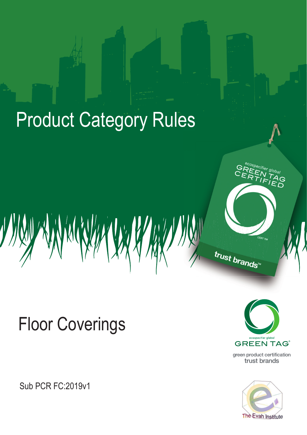# **Product Category Rules**



**Sub PCR FC:2019v1** 



CERT TM

trust brands

green product certification trust brands

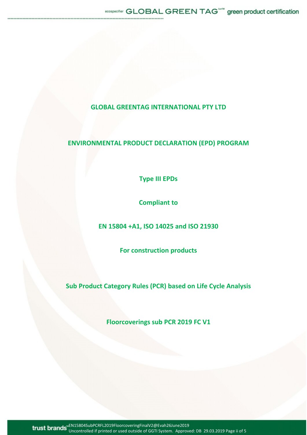## **GLOBAL GREENTAG INTERNATIONAL PTY LTD**

# **ENVIRONMENTAL PRODUCT DECLARATION (EPD) PROGRAM**

**Type III EPDs**

**Compliant to**

**EN 15804 +A1, ISO 14025 and ISO 21930**

**For construction products** 

**Sub Product Category Rules (PCR) based on Life Cycle Analysis**

**Floorcoverings sub PCR 2019 FC V1**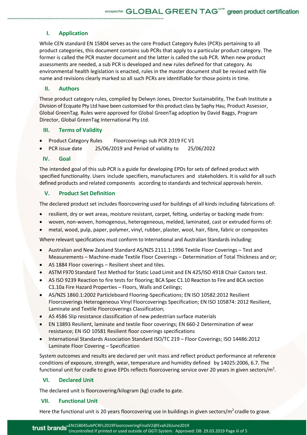## **I. Application**

While CEN standard EN 15804 serves as the core Product Category Rules (PCR)s pertaining to all product categories, this document contains sub PCRs that apply to a particular product category. The former is called the PCR master document and the latter is called the sub PCR. When new product assessments are needed, a sub PCR is developed and new rules defined for that category. As environmental health legislation is enacted, rules in the master document shall be revised with file name and revisions clearly marked so all such PCRs are identifiable for those points in time.

#### **II. Authors**

These product category rules, compiled by Delwyn Jones, Director Sustainability, The Evah Institute a Division of Ecquate Pty Ltd have been customised for this product class by Saphy Hau, Product Assessor, Global GreenTag. Rules were approved for Global GreenTag adoption by David Baggs, Program Director, Global GreenTag International Pty Ltd.

#### **III. Terms of Validity**

- Product Category Rules Floorcoverings sub PCR 2019 FC V1
- PCR issue date 25/06/2019 and Period of validity to 25/06/2022

#### **IV. Goal**

The intended goal of this sub PCR is a guide for developing EPDs for sets of defined product with specified functionality. Users include specifiers, manufacturers and stakeholders. It is valid for all such defined products and related components according to standards and technical approvals herein.

#### **V. Product Set Definition**

The declared product set includes floorcovering used for buildings of all kinds including fabrications of:

- resilient, dry or wet areas, moisture resistant, carpet, felting, underlay or backing made from:
- woven, non-woven, homogenous, heterogeneous, melded, laminated, cast or extruded forms of:
- metal, wood, pulp, paper, polymer, vinyl, rubber, plaster, wool, hair, fibre, fabric or composites

Where relevant specifications must conform to International and Australian Standards including:

- Australian and New Zealand Standard AS/NZS 2111.1:1996 Textile Floor Coverings Test and Measurements – Machine-made Textile Floor Coverings – Determination of Total Thickness and or;
- AS 1884 Floor coverings Resilient sheet and tiles.
- ASTM F970 Standard Test Method for Static Load Limit and EN 425/ISO 4918 Chair Castors test.
- AS ISO 9239 Reaction to fire tests for flooring; BCA Spec C1.10 Reaction to Fire and BCA section C1.10a Fire Hazard Properties – Floors, Walls and Ceilings;
- AS/NZS 1860.1:2002 Particleboard Flooring-Specifications; EN ISO 10582:2012 Resilient Floorcoverings Heterogeneous Vinyl Floorcoverings Specification; EN ISO 105874: 2012 Resilient, Laminate and Textile Floorcoverings Classification;
- AS 4586 Slip resistance classification of new pedestrian surface materials
- EN 13893 Resilient, laminate and textile floor coverings; EN 660-2 Determination of wear resistance; EN ISO 10581 Resilient floor coverings specifications
- International Standards Association Standard ISO/TC 219 Floor Coverings; ISO 14486:2012 Laminate Floor Covering – Specification

System outcomes and results are declared per unit mass and reflect product performance at reference conditions of exposure, strength, wear, temperature and humidity defined by 14025:2006, 6.7. The functional unit for cradle to grave EPDs reflects floorcovering service over 20 years in given sectors/ $m^2$ .

### **VI. Declared Unit**

The declared unit is floorcovering/kilogram (kg) cradle to gate.

#### **VII. Functional Unit**

Here the functional unit is 20 years floorcovering use in buildings in given sectors/ $m^2$  cradle to grave.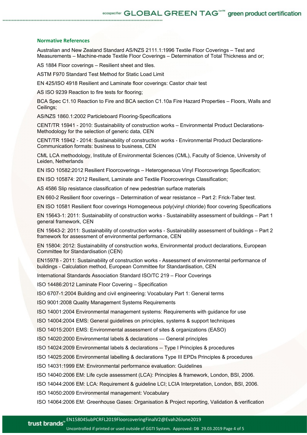#### **Normative References**

Australian and New Zealand Standard AS/NZS 2111.1:1996 Textile Floor Coverings – Test and Measurements – Machine-made Textile Floor Coverings – Determination of Total Thickness and or;

AS 1884 Floor coverings – Resilient sheet and tiles.

ASTM F970 Standard Test Method for Static Load Limit

EN 425/ISO 4918 Resilient and Laminate floor coverings: Castor chair test

AS ISO 9239 Reaction to fire tests for flooring;

BCA Spec C1.10 Reaction to Fire and BCA section C1.10a Fire Hazard Properties – Floors, Walls and Ceilings;

AS/NZS 1860.1:2002 Particleboard Flooring-Specifications

CENT/TR 15941 - 2010: Sustainability of construction works – Environmental Product Declarations-Methodology for the selection of generic data, CEN

CENT/TR 15942 - 2014: Sustainability of construction works - Environmental Product Declarations-Communication formats: business to business, CEN

CML LCA methodology, Institute of Environmental Sciences (CML), Faculty of Science, University of Leiden, Netherlands

EN ISO 10582:2012 Resilient Floorcoverings – Heterogeneous Vinyl Floorcoverings Specification;

EN ISO 105874: 2012 Resilient, Laminate and Textile Floorcoverings Classification;

AS 4586 Slip resistance classification of new pedestrian surface materials

EN 660-2 Resilient floor coverings – Determination of wear resistance – Part 2: Frick-Taber test.

EN ISO 10581 Resilient floor coverings Homogeneous poly(vinyl chloride) floor covering Specifications

EN 15643-1: 2011: Sustainability of construction works - Sustainability assessment of buildings – Part 1 general framework, CEN

EN 15643-2: 2011: Sustainability of construction works - Sustainability assessment of buildings – Part 2 framework for assessment of environmental performance, CEN

EN 15804: 2012: Sustainability of construction works, Environmental product declarations, European Committee for Standardisation (CEN)

EN15978 - 2011: Sustainability of construction works - Assessment of environmental performance of buildings - Calculation method, European Committee for Standardisation, CEN

International Standards Association Standard ISO/TC 219 – Floor Coverings

ISO 14486:2012 Laminate Floor Covering – Specification

ISO 6707-1:2004 Building and civil engineering: Vocabulary Part 1: General terms

ISO 9001:2008 Quality Management Systems Requirements

ISO 14001:2004 Environmental management systems: Requirements with guidance for use

ISO 14004:2004 EMS: General guidelines on principles, systems & support techniques

ISO 14015:2001 EMS: Environmental assessment of sites & organizations (EASO)

ISO 14020:2000 Environmental labels & declarations — General principles

ISO 14024:2009 Environmental labels & declarations -- Type I Principles & procedures

ISO 14025:2006 Environmental labelling & declarations Type III EPDs Principles & procedures

ISO 14031:1999 EM: Environmental performance evaluation: Guidelines

ISO 14040:2006 EM: Life cycle assessment (LCA): Principles & framework, London, BSI, 2006.

ISO 14044:2006 EM: LCA: Requirement & guideline LCI; LCIA Interpretation, London, BSI, 2006.

ISO 14050:2009 Environmental management: Vocabulary

ISO 14064:2006 EM: Greenhouse Gases: Organisation & Project reporting, Validation & verification

Uncontrolled if printed or used outside of GGTI System. Approved: DB 29.03.2019 Page 4 of 5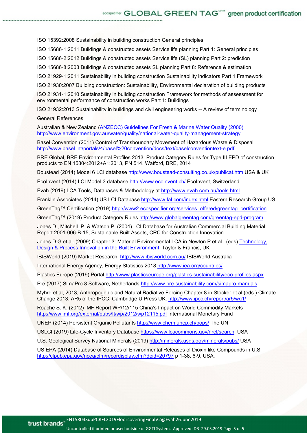ISO 15392:2008 Sustainability in building construction General principles

ISO 15686-1:2011 Buildings & constructed assets Service life planning Part 1: General principles

ISO 15686-2:2012 Buildings & constructed assets Service life (SL) planning Part 2: prediction

ISO 15686-8:2008 Buildings & constructed assets SL planning Part 8: Reference & estimation

ISO 21929-1:2011 Sustainability in building construction Sustainability indicators Part 1 Framework

ISO 21930:2007 Building construction: Sustainability, Environmental declaration of building products

ISO 21931-1:2010 Sustainability in building construction Framework for methods of assessment for environmental performance of construction works Part 1: Buildings

ISO 21932:2013 Sustainability in buildings and civil engineering works -- A review of terminology

#### General References

Australian & New Zealand [\(ANZECC\) Guidelines For Fresh & Marine Water Quality \(2000\)](http://www.environment.gov.au/topics/water/water-quality/national-water-quality-management-strategy) <http://www.environment.gov.au/water/quality/national-water-quality-management-strategy>

Basel Convention (2011) Control of Transboundary Movement of Hazardous Waste & Disposal <http://www.basel.int/portals/4/basel%20convention/docs/text/baselconventiontext-e.pdf>

BRE Global, BRE Environmental Profiles 2013: Product Category Rules for Type III EPD of construction products to EN 15804:2012+A1:2013, PN 514. Watford, BRE, 2014

Boustead (2014) Model 6 LCI database<http://www.boustead-consulting.co.uk/publicat.htm> USA & UK

EcoInvent (2014) LCI Model 3 database<http://www.ecoinvent.ch/> EcoInvent, Switzerland

Evah (2019) LCA Tools, Databases & Methodology at<http://www.evah.com.au/tools.html>

Franklin Associates (2014) US LCI Database<http://www.fal.com/index.html> Eastern Research Group US

GreenTag™ Certification (2019) [http://www2.ecospecifier.org/services\\_offered/greentag\\_certification](http://www2.ecospecifier.org/services_offered/greentag_certification)

GreenTag™ (2019) Product Category Rules<http://www.globalgreentag.com/greentag-epd-program>

Jones D., Mitchell. P. & Watson P. (2004) LCI Database for Australian Commercial Building Material: Report 2001-006-B-15, Sustainable Built Assets, CRC for Construction Innovation

Jones D.G et al. (2009) Chapter 3: Material Environmental LCA in Newton P et al., (eds) [Technology,](http://researchbank.swinburne.edu.au/vital/access/manager/Repository/swin:9578?start=2)  [Design & Process Innovation in the Built Environment,](http://researchbank.swinburne.edu.au/vital/access/manager/Repository/swin:9578?start=2) Taylor & Francis, UK

IBISWorld (2019) Market Research,<http://www.ibisworld.com.au/> IBISWorld Australia

International Energy Agency, Energy Statistics 2018 [http://www.iea.org/countries/](http://www.iea.org/countries/membercountries/)

Plastics Europe (2019) Portal<http://www.plasticseurope.org/plastics-sustainability/eco-profiles.aspx>

Pre (2017) SimaPro 8 Software, Netherlands<http://www.pre-sustainability.com/simapro-manuals>

Myhre et al, 2013, Anthropogenic and Natural Radiative Forcing Chapter 8 in Stocker et al (eds.) Climate Change 2013, AR5 of the IPCC, Cambridge U Press UK.<http://www.ipcc.ch/report/ar5/wg1/>

Roache S. K. (2012) IMF Report WP/12/115 China's Impact on World Commodity Markets <http://www.imf.org/external/pubs/ft/wp/2012/wp12115.pdf> International Monetary Fund

UNEP (2014) Persistent Organic Pollutants<http://www.chem.unep.ch/pops/> The UN

USLCI (2019) Life-Cycle Inventory Database [https://www.lcacommons.gov/nrel/search,](https://www.lcacommons.gov/nrel/search) USA

U.S. Geological Survey National Minerals (2019) <http://minerals.usgs.gov/minerals/pubs/> USA

US EPA (2014) Database of Sources of Environmental Releases of Dioxin like Compounds in U.S <http://cfpub.epa.gov/ncea/cfm/recordisplay.cfm?deid=20797> p 1-38, 6-9, USA.